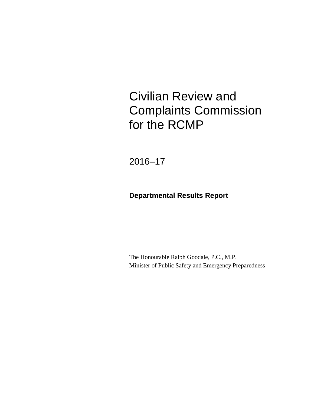# Civilian Review and Complaints Commission for the RCMP

2016–17

## **Departmental Results Report**

The Honourable Ralph Goodale, P.C., M.P. Minister of Public Safety and Emergency Preparedness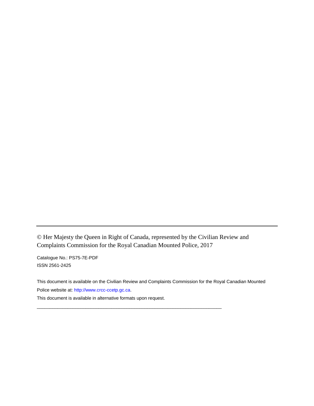© Her Majesty the Queen in Right of Canada, represented by the Civilian Review and Complaints Commission for the Royal Canadian Mounted Police, 2017

\_\_\_\_\_\_\_\_\_\_\_\_\_\_\_\_\_\_\_\_\_\_\_\_\_\_\_\_\_\_\_\_\_\_\_\_\_\_\_\_\_\_\_\_\_\_\_\_\_\_\_\_\_\_\_\_\_\_\_\_\_\_\_\_\_\_\_\_\_\_\_\_

Catalogue No.: PS75-7E-PDF ISSN 2561-2425

This document is available on the Civilian Review and Complaints Commission for the Royal Canadian Mounted Police website at[: http://www.crcc-ccetp.gc.ca.](http://www.crcc-ccetp.gc.ca/)

This document is available in alternative formats upon request.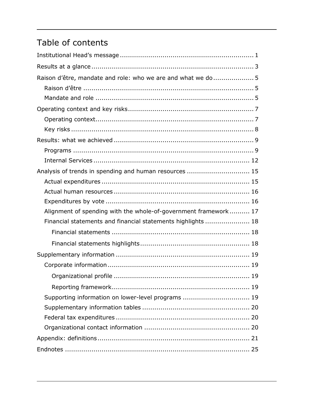# Table of contents

| Raison d'être, mandate and role: who we are and what we do 5    |
|-----------------------------------------------------------------|
|                                                                 |
|                                                                 |
|                                                                 |
|                                                                 |
|                                                                 |
|                                                                 |
|                                                                 |
|                                                                 |
| Analysis of trends in spending and human resources  15          |
|                                                                 |
|                                                                 |
|                                                                 |
| Alignment of spending with the whole-of-government framework 17 |
| Financial statements and financial statements highlights  18    |
|                                                                 |
|                                                                 |
|                                                                 |
|                                                                 |
|                                                                 |
|                                                                 |
| Supporting information on lower-level programs  19              |
|                                                                 |
|                                                                 |
|                                                                 |
|                                                                 |
|                                                                 |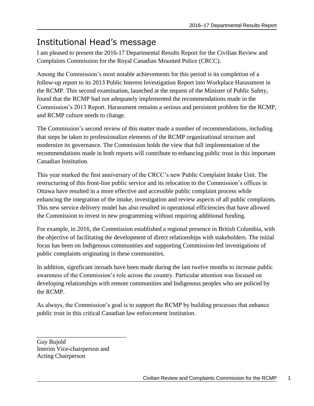## <span id="page-4-0"></span>Institutional Head's message

I am pleased to present the 2016-17 Departmental Results Report for the Civilian Review and Complaints Commission for the Royal Canadian Mounted Police (CRCC).

Among the Commission's most notable achievements for this period is its completion of a follow-up report to its 2013 Public Interest Investigation Report into Workplace Harassment in the RCMP. This second examination, launched at the request of the Minister of Public Safety, found that the RCMP had not adequately implemented the recommendations made in the Commission's 2013 Report. Harassment remains a serious and persistent problem for the RCMP, and RCMP culture needs to change.

The Commission's second review of this matter made a number of recommendations, including that steps be taken to professionalize elements of the RCMP organizational structure and modernize its governance. The Commission holds the view that full implementation of the recommendations made in both reports will contribute to enhancing public trust in this important Canadian Institution.

This year marked the first anniversary of the CRCC's new Public Complaint Intake Unit. The restructuring of this front-line public service and its relocation to the Commission's offices in Ottawa have resulted in a more effective and accessible public complaint process while enhancing the integration of the intake, investigation and review aspects of all public complaints. This new service delivery model has also resulted in operational efficiencies that have allowed the Commission to invest in new programming without requiring additional funding.

For example, in 2016, the Commission established a regional presence in British Columbia, with the objective of facilitating the development of direct relationships with stakeholders. The initial focus has been on Indigenous communities and supporting Commission-led investigations of public complaints originating in these communities.

In addition, significant inroads have been made during the last twelve months to increase public awareness of the Commission's role across the country. Particular attention was focused on developing relationships with remote communities and Indigenous peoples who are policed by the RCMP.

As always, the Commission's goal is to support the RCMP by building processes that enhance public trust in this critical Canadian law enforcement institution.

Guy Bujold Interim Vice-chairperson and Acting Chairperson

\_\_\_\_\_\_\_\_\_\_\_\_\_\_\_\_\_\_\_\_\_\_\_\_\_\_\_\_\_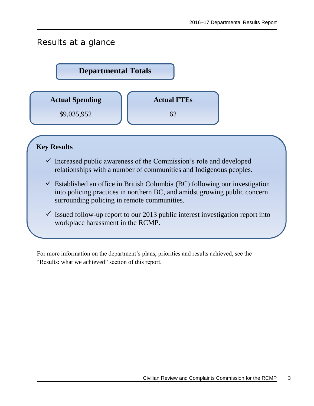## <span id="page-6-0"></span>Results at a glance



### **Key Results**

- $\checkmark$  Increased public awareness of the Commission's role and developed relationships with a number of communities and Indigenous peoples.
- $\checkmark$  Established an office in British Columbia (BC) following our investigation into policing practices in northern BC, and amidst growing public concern surrounding policing in remote communities.
- $\checkmark$  Issued follow-up report to our 2013 public interest investigation report into workplace harassment in the RCMP.

For more information on the department's plans, priorities and results achieved, see the "Results: what we achieved" section of this report.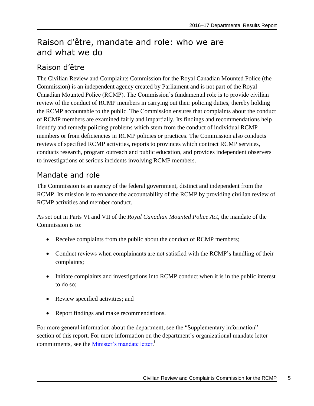## <span id="page-8-0"></span>Raison d'être, mandate and role: who we are and what we do

## <span id="page-8-1"></span>Raison d'être

The Civilian Review and Complaints Commission for the Royal Canadian Mounted Police (the Commission) is an independent agency created by Parliament and is not part of the Royal Canadian Mounted Police (RCMP). The Commission's fundamental role is to provide civilian review of the conduct of RCMP members in carrying out their policing duties, thereby holding the RCMP accountable to the public. The Commission ensures that complaints about the conduct of RCMP members are examined fairly and impartially. Its findings and recommendations help identify and remedy policing problems which stem from the conduct of individual RCMP members or from deficiencies in RCMP policies or practices. The Commission also conducts reviews of specified RCMP activities, reports to provinces which contract RCMP services, conducts research, program outreach and public education, and provides independent observers to investigations of serious incidents involving RCMP members.

## <span id="page-8-2"></span>Mandate and role

The Commission is an agency of the federal government, distinct and independent from the RCMP. Its mission is to enhance the accountability of the RCMP by providing civilian review of RCMP activities and member conduct.

As set out in Parts VI and VII of the *Royal Canadian Mounted Police Act*, the mandate of the Commission is to:

- Receive complaints from the public about the conduct of RCMP members;
- Conduct reviews when complainants are not satisfied with the RCMP's handling of their complaints;
- Initiate complaints and investigations into RCMP conduct when it is in the public interest to do so;
- Review specified activities; and
- Report findings and make recommendations.

For more general information about the department, see the "Supplementary information" section of this report. For more information on the department's organizational mandate letter commitments, see the [Minister's mandate letter.](http://pm.gc.ca/eng/mandate-letters)<sup>i</sup>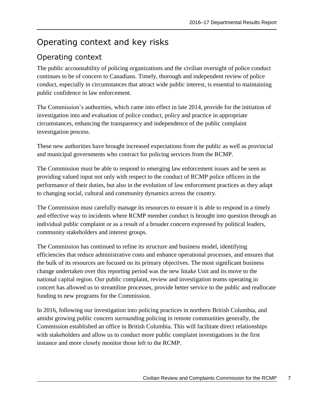## <span id="page-10-0"></span>Operating context and key risks

## <span id="page-10-1"></span>Operating context

The public accountability of policing organizations and the civilian oversight of police conduct continues to be of concern to Canadians. Timely, thorough and independent review of police conduct, especially in circumstances that attract wide public interest, is essential to maintaining public confidence in law enforcement.

The Commission's authorities, which came into effect in late 2014, provide for the initiation of investigation into and evaluation of police conduct, policy and practice in appropriate circumstances, enhancing the transparency and independence of the public complaint investigation process.

These new authorities have brought increased expectations from the public as well as provincial and municipal governments who contract for policing services from the RCMP.

The Commission must be able to respond to emerging law enforcement issues and be seen as providing valued input not only with respect to the conduct of RCMP police officers in the performance of their duties, but also in the evolution of law enforcement practices as they adapt to changing social, cultural and community dynamics across the country.

The Commission must carefully manage its resources to ensure it is able to respond in a timely and effective way to incidents where RCMP member conduct is brought into question through an individual public complaint or as a result of a broader concern expressed by political leaders, community stakeholders and interest groups.

The Commission has continued to refine its structure and business model, identifying efficiencies that reduce administrative costs and enhance operational processes, and ensures that the bulk of its resources are focused on its primary objectives. The most significant business change undertaken over this reporting period was the new Intake Unit and its move to the national capital region. Our public complaint, review and investigation teams operating in concert has allowed us to streamline processes, provide better service to the public and reallocate funding to new programs for the Commission.

In 2016, following our investigation into policing practices in northern British Columbia, and amidst growing public concern surrounding policing in remote communities generally, the Commission established an office in British Columbia. This will facilitate direct relationships with stakeholders and allow us to conduct more public complaint investigations in the first instance and more closely monitor those left to the RCMP.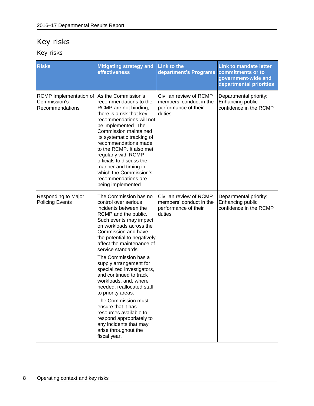## <span id="page-11-0"></span>Key risks

Key risks

| <b>Risks</b>                                                                  | <b>Mitigating strategy and</b><br><b>effectiveness</b>                                                                                                                                                                                                                                                                                                                                                                                                                                                                                                                                                                  | <b>Link to the</b><br>department's Programs                                          | <b>Link to mandate letter</b><br>commitments or to<br>government-wide and<br>departmental priorities |
|-------------------------------------------------------------------------------|-------------------------------------------------------------------------------------------------------------------------------------------------------------------------------------------------------------------------------------------------------------------------------------------------------------------------------------------------------------------------------------------------------------------------------------------------------------------------------------------------------------------------------------------------------------------------------------------------------------------------|--------------------------------------------------------------------------------------|------------------------------------------------------------------------------------------------------|
| RCMP Implementation of As the Commission's<br>Commission's<br>Recommendations | recommendations to the<br>RCMP are not binding,<br>there is a risk that key<br>recommendations will not<br>be implemented. The<br>Commission maintained<br>its systematic tracking of<br>recommendations made<br>to the RCMP. It also met<br>regularly with RCMP<br>officials to discuss the<br>manner and timing in<br>which the Commission's<br>recommendations are<br>being implemented.                                                                                                                                                                                                                             | Civilian review of RCMP<br>members' conduct in the<br>performance of their<br>duties | Departmental priority:<br>Enhancing public<br>confidence in the RCMP                                 |
| Responding to Major<br><b>Policing Events</b>                                 | The Commission has no<br>control over serious<br>incidents between the<br>RCMP and the public.<br>Such events may impact<br>on workloads across the<br>Commission and have<br>the potential to negatively<br>affect the maintenance of<br>service standards.<br>The Commission has a<br>supply arrangement for<br>specialized investigators,<br>and continued to track<br>workloads, and, where<br>needed, reallocated staff<br>to priority areas.<br>The Commission must<br>ensure that it has<br>resources available to<br>respond appropriately to<br>any incidents that may<br>arise throughout the<br>fiscal year. | Civilian review of RCMP<br>members' conduct in the<br>performance of their<br>duties | Departmental priority:<br>Enhancing public<br>confidence in the RCMP                                 |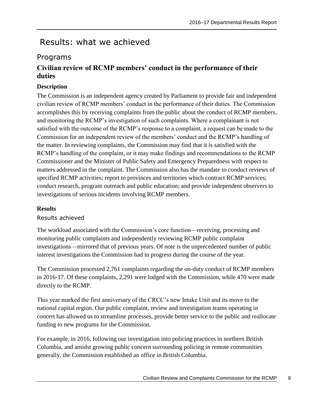## <span id="page-12-0"></span>Results: what we achieved

### <span id="page-12-1"></span>Programs

### **Civilian review of RCMP members' conduct in the performance of their duties**

#### **Description**

The Commission is an independent agency created by Parliament to provide fair and independent civilian review of RCMP members' conduct in the performance of their duties. The Commission accomplishes this by receiving complaints from the public about the conduct of RCMP members, and monitoring the RCMP's investigation of such complaints. Where a complainant is not satisfied with the outcome of the RCMP's response to a complaint, a request can be made to the Commission for an independent review of the members' conduct and the RCMP's handling of the matter. In reviewing complaints, the Commission may find that it is satisfied with the RCMP's handling of the complaint, or it may make findings and recommendations to the RCMP Commissioner and the Minister of Public Safety and Emergency Preparedness with respect to matters addressed in the complaint. The Commission also has the mandate to conduct reviews of specified RCMP activities; report to provinces and territories which contract RCMP services; conduct research, program outreach and public education; and provide independent observers to investigations of serious incidents involving RCMP members.

#### **Results**

#### Results achieved

The workload associated with the Commission's core function—receiving, processing and monitoring public complaints and independently reviewing RCMP public complaint investigations—mirrored that of previous years. Of note is the unprecedented number of public interest investigations the Commission had in progress during the course of the year.

The Commission processed 2,761 complaints regarding the on-duty conduct of RCMP members in 2016-17. Of these complaints, 2,291 were lodged with the Commission, while 470 were made directly to the RCMP.

This year marked the first anniversary of the CRCC's new Intake Unit and its move to the national capital region. Our public complaint, review and investigation teams operating in concert has allowed us to streamline processes, provide better service to the public and reallocate funding to new programs for the Commission.

For example, in 2016, following our investigation into policing practices in northern British Columbia, and amidst growing public concern surrounding policing in remote communities generally, the Commission established an office in British Columbia.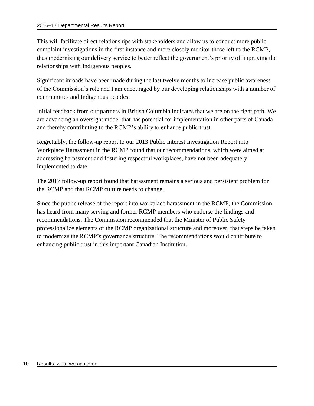This will facilitate direct relationships with stakeholders and allow us to conduct more public complaint investigations in the first instance and more closely monitor those left to the RCMP, thus modernizing our delivery service to better reflect the government's priority of improving the relationships with Indigenous peoples.

Significant inroads have been made during the last twelve months to increase public awareness of the Commission's role and I am encouraged by our developing relationships with a number of communities and Indigenous peoples.

Initial feedback from our partners in British Columbia indicates that we are on the right path. We are advancing an oversight model that has potential for implementation in other parts of Canada and thereby contributing to the RCMP's ability to enhance public trust.

Regrettably, the follow-up report to our 2013 Public Interest Investigation Report into Workplace Harassment in the RCMP found that our recommendations, which were aimed at addressing harassment and fostering respectful workplaces, have not been adequately implemented to date.

The 2017 follow-up report found that harassment remains a serious and persistent problem for the RCMP and that RCMP culture needs to change.

Since the public release of the report into workplace harassment in the RCMP, the Commission has heard from many serving and former RCMP members who endorse the findings and recommendations. The Commission recommended that the Minister of Public Safety professionalize elements of the RCMP organizational structure and moreover, that steps be taken to modernize the RCMP's governance structure. The recommendations would contribute to enhancing public trust in this important Canadian Institution.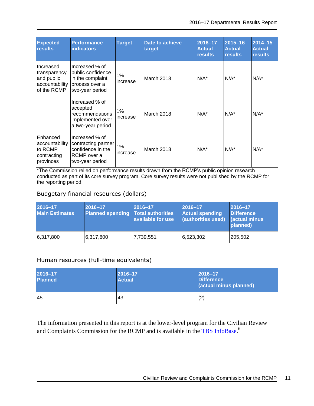| <b>Expected</b><br><b>results</b>                                        | <b>Performance</b><br><b>indicators</b>                                                      | <b>Target</b>     | Date to achieve<br>target | 2016-17<br><b>Actual</b><br><b>results</b> | 2015-16<br><b>Actual</b><br><b>results</b> | 2014-15<br><b>Actual</b><br><b>results</b> |
|--------------------------------------------------------------------------|----------------------------------------------------------------------------------------------|-------------------|---------------------------|--------------------------------------------|--------------------------------------------|--------------------------------------------|
| Increased<br>transparency<br>and public<br>accountability<br>of the RCMP | Increased % of<br>public confidence<br>in the complaint<br>process over a<br>two-year period | 1%<br>increase    | March 2018                | $N/A^*$                                    | $N/A^*$                                    | $N/A^*$                                    |
|                                                                          | Increased % of<br>accepted<br>recommendations<br>implemented over<br>a two-year period       | $1\%$<br>increase | March 2018                | $N/A^*$                                    | $N/A^*$                                    | $N/A^*$                                    |
| Enhanced<br>accountability<br>to RCMP<br>contracting<br>provinces        | Increased % of<br>contracting partner<br>confidence in the<br>RCMP over a<br>two-year period | 1%<br>increase    | <b>March 2018</b>         | $N/A^*$                                    | $N/A^*$                                    | $N/A^*$                                    |

\*The Commission relied on performance results drawn from the RCMP's public opinion research conducted as part of its core survey program. Core survey results were not published by the RCMP for the reporting period.

#### Budgetary financial resources (dollars)

| $2016 - 17$<br><b>Main Estimates</b> | $2016 - 17$<br>Planned spending Total authorities | 2016-17<br>available for use | $ 2016 - 17$<br><b>Actual spending</b><br>(authorities used) (actual minus | $2016 - 17$<br><b>Difference</b><br>planned) |
|--------------------------------------|---------------------------------------------------|------------------------------|----------------------------------------------------------------------------|----------------------------------------------|
| 6,317,800                            | 6,317,800                                         | 7,739,551                    | 6,523,302                                                                  | 205,502                                      |

#### Human resources (full-time equivalents)

| $2016 - 17$<br><b>Planned</b> | 2016-17<br><b>Actual</b> | $ 2016 - 17$<br><b>Difference</b><br>(actual minus planned) |
|-------------------------------|--------------------------|-------------------------------------------------------------|
| 45                            | 43                       | (2)                                                         |

The information presented in this report is at the lower-level program for the Civilian Review and Complaints Commission for the RCMP and is available in the [TBS InfoBase.](https://www.tbs-sct.gc.ca/ems-sgd/edb-bdd/index-eng.html)<sup>ii</sup>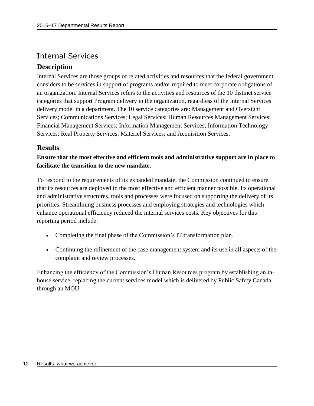## <span id="page-15-0"></span>Internal Services

### **Description**

Internal Services are those groups of related activities and resources that the federal government considers to be services in support of programs and/or required to meet corporate obligations of an organization. Internal Services refers to the activities and resources of the 10 distinct service categories that support Program delivery in the organization, regardless of the Internal Services delivery model in a department. The 10 service categories are: Management and Oversight Services; Communications Services; Legal Services; Human Resources Management Services; Financial Management Services; Information Management Services; Information Technology Services; Real Property Services; Materiel Services; and Acquisition Services.

### **Results**

**Ensure that the most effective and efficient tools and administrative support are in place to facilitate the transition to the new mandate.**

To respond to the requirements of its expanded mandate, the Commission continued to ensure that its resources are deployed in the most effective and efficient manner possible. Its operational and administrative structures, tools and processes were focused on supporting the delivery of its priorities. Streamlining business processes and employing strategies and technologies which enhance operational efficiency reduced the internal services costs. Key objectives for this reporting period include:

- Completing the final phase of the Commission's IT transformation plan.
- Continuing the refinement of the case management system and its use in all aspects of the complaint and review processes.

Enhancing the efficiency of the Commission's Human Resources program by establishing an inhouse service, replacing the current services model which is delivered by Public Safety Canada through an MOU.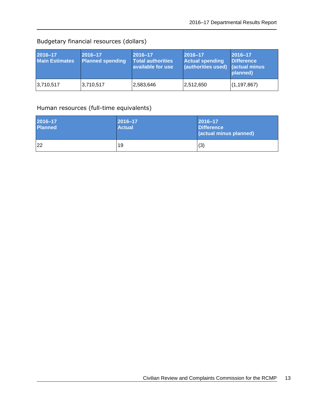## Budgetary financial resources (dollars)

| 2016-17<br><b>Main Estimates</b> | 2016-17<br><b>Planned spending</b> | 2016-17<br>Total authorities<br>available for use | $ 2016 - 17$<br><b>Actual spending</b><br>(authorities used) (actual minus | 2016-17<br><b>Difference</b><br>planned) |
|----------------------------------|------------------------------------|---------------------------------------------------|----------------------------------------------------------------------------|------------------------------------------|
| 3,710,517                        | 3,710,517                          | 2,583,646                                         | 2,512,650                                                                  | (1, 197, 867)                            |

#### Human resources (full-time equivalents)

| 2016-17<br><b>Planned</b> | $ 2016 - 17$<br><b>Actual</b> | $ 2016 - 17$<br><b>Difference</b><br>(actual minus planned) |
|---------------------------|-------------------------------|-------------------------------------------------------------|
| 22                        | 19                            | (3)                                                         |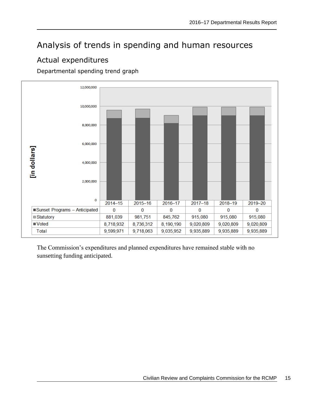## <span id="page-18-0"></span>Analysis of trends in spending and human resources

## <span id="page-18-1"></span>Actual expenditures

Departmental spending trend graph



The Commission's expenditures and planned expenditures have remained stable with no sunsetting funding anticipated.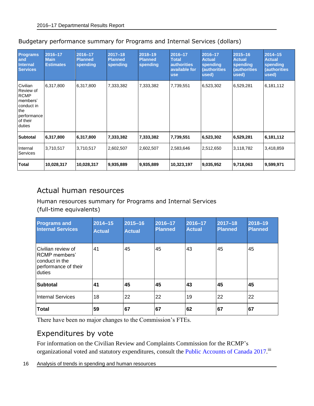| <b>Programs</b><br>and<br><b>Internal</b><br><b>Services</b>                                               | 2016-17<br><b>Main</b><br><b>Estimates</b> | 2016-17<br><b>Planned</b><br>spending | $2017 - 18$<br><b>Planned</b><br>spending | 2018-19<br><b>Planned</b><br>spending | 2016-17<br><b>Total</b><br><b>authorities</b><br>available for<br><b>use</b> | 2016-17<br><b>Actual</b><br>spending<br>(authorities<br>used) | $2015 - 16$<br><b>Actual</b><br>spending<br>authorities)<br>used) | $2014 - 15$<br><b>Actual</b><br>spending<br><i>(authorities)</i><br>used) |
|------------------------------------------------------------------------------------------------------------|--------------------------------------------|---------------------------------------|-------------------------------------------|---------------------------------------|------------------------------------------------------------------------------|---------------------------------------------------------------|-------------------------------------------------------------------|---------------------------------------------------------------------------|
| Civilian<br>Review of<br><b>RCMP</b><br>members'<br>conduct in<br>the<br>performance<br>of their<br>duties | 6,317,800                                  | 6,317,800                             | 7,333,382                                 | 7,333,382                             | 7,739,551                                                                    | 6,523,302                                                     | 6,529,281                                                         | 6,181,112                                                                 |
| <b>Subtotal</b>                                                                                            | 6,317,800                                  | 6,317,800                             | 7,333,382                                 | 7,333,382                             | 7,739,551                                                                    | 6,523,302                                                     | 6,529,281                                                         | 6,181,112                                                                 |
| Internal<br>Services                                                                                       | 3,710,517                                  | 3,710,517                             | 2,602,507                                 | 2,602,507                             | 2,583,646                                                                    | 2,512,650                                                     | 3,118,782                                                         | 3,418,859                                                                 |
| <b>Total</b>                                                                                               | 10,028,317                                 | 10,028,317                            | 9,935,889                                 | 9,935,889                             | 10,323,197                                                                   | 9,035,952                                                     | 9,718,063                                                         | 9,599,971                                                                 |

#### Budgetary performance summary for Programs and Internal Services (dollars)

## <span id="page-19-0"></span>Actual human resources

#### Human resources summary for Programs and Internal Services (full-time equivalents)

| <b>Programs and</b><br><b>Internal Services</b>                                           | $2014 - 15$<br><b>Actual</b> | 2015-16<br><b>Actual</b> | 2016-17<br><b>Planned</b> | 2016-17<br><b>Actual</b> | $2017 - 18$<br><b>Planned</b> | 2018-19<br><b>Planned</b> |
|-------------------------------------------------------------------------------------------|------------------------------|--------------------------|---------------------------|--------------------------|-------------------------------|---------------------------|
| lCivilian review of<br>IRCMP members'<br>conduct in the<br>performance of their<br>duties | 41                           | 45                       | 45                        | 43                       | 45                            | 45                        |
| <b>Subtotal</b>                                                                           | 41                           | 45                       | 45                        | 43                       | 45                            | 45                        |
| Internal Services                                                                         | 18                           | 22                       | 22                        | 19                       | 22                            | 22                        |
| <b>Total</b>                                                                              | 59                           | 67                       | 67                        | 62                       | 67                            | 67                        |

There have been no major changes to the Commission's FTEs.

## <span id="page-19-1"></span>Expenditures by vote

For information on the Civilian Review and Complaints Commission for the RCMP's organizational voted and statutory expenditures, consult the [Public Accounts of Canada 2017.](http://www.tpsgc-pwgsc.gc.ca/recgen/cpc-pac/index-eng.html)<sup>ii</sup>

16 Analysis of trends in spending and human resources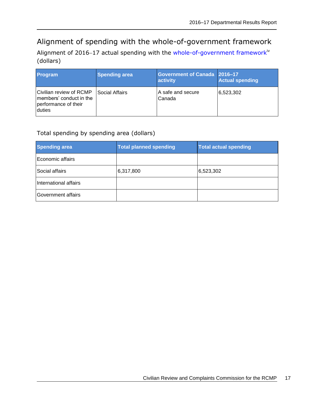## <span id="page-20-0"></span>Alignment of spending with the whole-of-government framework

Alignment of 2016-17 actual spending with the [whole-of-government framework](https://www.tbs-sct.gc.ca/ems-sgd/edb-bdd/index-eng.html#tag-nav/~(current_branch~)iv (dollars)

| Program                                                                              | <b>Spending area</b> | Government of Canada 2016-17<br>activity | <b>Actual spending</b> |
|--------------------------------------------------------------------------------------|----------------------|------------------------------------------|------------------------|
| Civilian review of RCMP<br>members' conduct in the<br>performance of their<br>duties | Social Affairs       | A safe and secure<br>Canada              | 6,523,302              |

#### Total spending by spending area (dollars)

| <b>Spending area</b>  | <b>Total planned spending</b> | <b>Total actual spending</b> |
|-----------------------|-------------------------------|------------------------------|
| Economic affairs      |                               |                              |
| Social affairs        | 6,317,800                     | 6,523,302                    |
| International affairs |                               |                              |
| Government affairs    |                               |                              |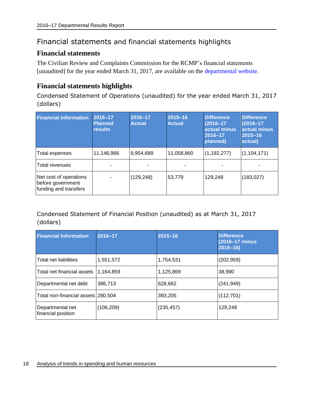## <span id="page-21-0"></span>Financial statements and financial statements highlights

#### <span id="page-21-1"></span>**Financial statements**

The Civilian Review and Complaints Commission for the RCMP's financial statements [unaudited] for the year ended March 31, 2017, are available on the departmental website.

#### <span id="page-21-2"></span>**Financial statements highlights**

Condensed Statement of Operations (unaudited) for the year ended March 31, 2017 (dollars)

| <b>Financial information</b>                                         | 2016-17<br><b>Planned</b><br><b>results</b> | 2016-17<br><b>Actual</b> | $2015 - 16$<br><b>Actual</b> | <b>Difference</b><br>$(2016 - 17)$<br>actual minus<br>2016-17<br>planned) | <b>Difference</b><br>$(2016 - 17)$<br>actual minus<br>2015-16<br>actual) |
|----------------------------------------------------------------------|---------------------------------------------|--------------------------|------------------------------|---------------------------------------------------------------------------|--------------------------------------------------------------------------|
| Total expenses                                                       | 11,146,966                                  | 9,954,689                | 11,058,860                   | (1, 192, 277)                                                             | (1, 104, 171)                                                            |
| <b>Total revenues</b>                                                |                                             |                          |                              |                                                                           |                                                                          |
| Net cost of operations<br>before government<br>funding and transfers |                                             | (129, 248)               | 53,779                       | 129,248                                                                   | (183, 027)                                                               |

#### Condensed Statement of Financial Position (unaudited) as at March 31, 2017 (dollars)

| <b>Financial Information</b>           | 2016-17    | $2015 - 16$ | <b>Difference</b><br>(2016-17 minus)<br>$2015 - 16$ |
|----------------------------------------|------------|-------------|-----------------------------------------------------|
| Total net liabilities                  | 1,551,572  | 1,754,531   | (202, 959)                                          |
| Total net financial assets             | 1.164.859  | 1,125,869   | 38,990                                              |
| Departmental net debt                  | 386,713    | 628,662     | (241, 949)                                          |
| Total non-financial assets 280,504     |            | 393,205     | (112, 701)                                          |
| Departmental net<br>financial position | (106, 209) | (235, 457)  | 129,248                                             |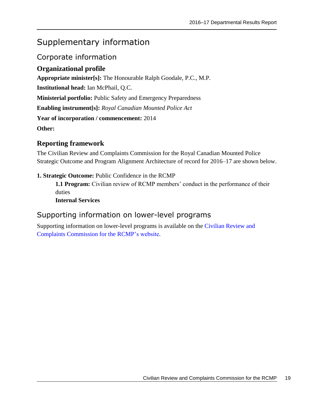## <span id="page-22-0"></span>Supplementary information

### <span id="page-22-1"></span>Corporate information

### <span id="page-22-2"></span>**Organizational profile**

**Appropriate minister[s]:** The Honourable Ralph Goodale, P.C., M.P.

**Institutional head:** Ian McPhail, Q.C.

**Ministerial portfolio:** Public Safety and Emergency Preparedness

**Enabling instrument[s]:** *Royal Canadian Mounted Police Act*

**Year of incorporation / commencement:** 2014

**Other:**

### <span id="page-22-3"></span>**Reporting framework**

The Civilian Review and Complaints Commission for the Royal Canadian Mounted Police Strategic Outcome and Program Alignment Architecture of record for 2016–17 are shown below.

#### **1. Strategic Outcome:** Public Confidence in the RCMP

**1.1 Program:** Civilian review of RCMP members' conduct in the performance of their duties

**Internal Services**

## <span id="page-22-4"></span>Supporting information on lower-level programs

Supporting information on lower-level programs is available on the Civilian Review and Complaints Commission for the RCMP's website.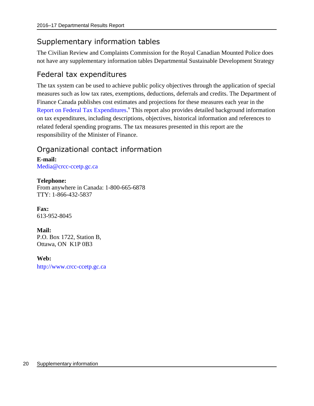## <span id="page-23-0"></span>Supplementary information tables

The Civilian Review and Complaints Commission for the Royal Canadian Mounted Police does not have any supplementary information tables Departmental Sustainable Development Strategy

## <span id="page-23-1"></span>Federal tax expenditures

The tax system can be used to achieve public policy objectives through the application of special measures such as low tax rates, exemptions, deductions, deferrals and credits. The Department of Finance Canada publishes cost estimates and projections for these measures each year in the [Report on Federal Tax Expenditures.](http://www.fin.gc.ca/purl/taxexp-eng.asp)<sup>V</sup> This report also provides detailed background information on tax expenditures, including descriptions, objectives, historical information and references to related federal spending programs. The tax measures presented in this report are the responsibility of the Minister of Finance.

## <span id="page-23-2"></span>Organizational contact information

**E-mail:** [Media@crcc-ccetp.gc.ca](mailto:Media@crcc-ccetp.gc.ca)

**Telephone:**  From anywhere in Canada: 1-800-665-6878 TTY: 1-866-432-5837

**Fax:** 613-952-8045

**Mail:**  P.O. Box 1722, Station B, Ottawa, ON K1P 0B3

**Web:** [http://www.crcc-ccetp.gc.ca](http://www.crcc-ccetp.gc.ca/)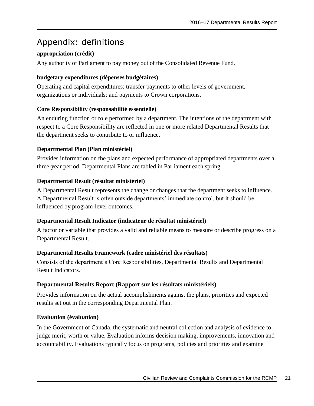## <span id="page-24-0"></span>Appendix: definitions

#### **appropriation (crédit)**

Any authority of Parliament to pay money out of the Consolidated Revenue Fund.

#### **budgetary expenditures (dépenses budgétaires)**

Operating and capital expenditures; transfer payments to other levels of government, organizations or individuals; and payments to Crown corporations.

#### **Core Responsibility (responsabilité essentielle)**

An enduring function or role performed by a department. The intentions of the department with respect to a Core Responsibility are reflected in one or more related Departmental Results that the department seeks to contribute to or influence.

#### **Departmental Plan (Plan ministériel)**

Provides information on the plans and expected performance of appropriated departments over a three-year period. Departmental Plans are tabled in Parliament each spring.

#### **Departmental Result (résultat ministériel)**

A Departmental Result represents the change or changes that the department seeks to influence. A Departmental Result is often outside departments' immediate control, but it should be influenced by program-level outcomes.

#### **Departmental Result Indicator (indicateur de résultat ministériel)**

A factor or variable that provides a valid and reliable means to measure or describe progress on a Departmental Result.

#### **Departmental Results Framework (cadre ministériel des résultats)**

Consists of the department's Core Responsibilities, Departmental Results and Departmental Result Indicators.

#### **Departmental Results Report (Rapport sur les résultats ministériels)**

Provides information on the actual accomplishments against the plans, priorities and expected results set out in the corresponding Departmental Plan.

#### **Evaluation (évaluation)**

In the Government of Canada, the systematic and neutral collection and analysis of evidence to judge merit, worth or value. Evaluation informs decision making, improvements, innovation and accountability. Evaluations typically focus on programs, policies and priorities and examine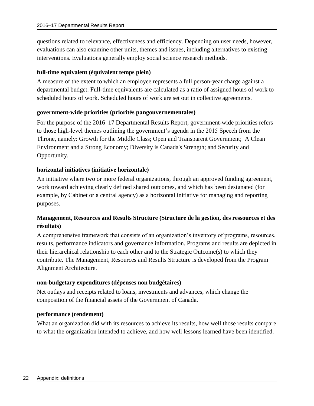questions related to relevance, effectiveness and efficiency. Depending on user needs, however, evaluations can also examine other units, themes and issues, including alternatives to existing interventions. Evaluations generally employ social science research methods.

#### **full-time equivalent (équivalent temps plein)**

A measure of the extent to which an employee represents a full person-year charge against a departmental budget. Full-time equivalents are calculated as a ratio of assigned hours of work to scheduled hours of work. Scheduled hours of work are set out in collective agreements.

#### **government-wide priorities (priorités pangouvernementales)**

For the purpose of the 2016–17 Departmental Results Report, government-wide priorities refers to those high-level themes outlining the government's agenda in the 2015 Speech from the Throne, namely: Growth for the Middle Class; Open and Transparent Government; A Clean Environment and a Strong Economy; Diversity is Canada's Strength; and Security and Opportunity.

#### **horizontal initiatives (initiative horizontale)**

An initiative where two or more federal organizations, through an approved funding agreement, work toward achieving clearly defined shared outcomes, and which has been designated (for example, by Cabinet or a central agency) as a horizontal initiative for managing and reporting purposes.

#### **Management, Resources and Results Structure (Structure de la gestion, des ressources et des résultats)**

A comprehensive framework that consists of an organization's inventory of programs, resources, results, performance indicators and governance information. Programs and results are depicted in their hierarchical relationship to each other and to the Strategic Outcome(s) to which they contribute. The Management, Resources and Results Structure is developed from the Program Alignment Architecture.

#### **non-budgetary expenditures (dépenses non budgétaires)**

Net outlays and receipts related to loans, investments and advances, which change the composition of the financial assets of the Government of Canada.

#### **performance (rendement)**

What an organization did with its resources to achieve its results, how well those results compare to what the organization intended to achieve, and how well lessons learned have been identified.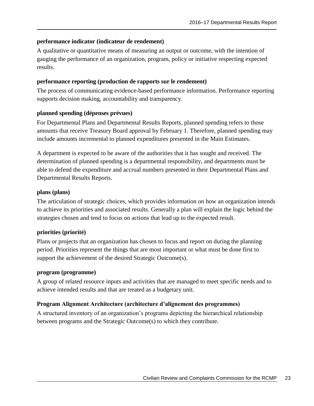#### **performance indicator (indicateur de rendement)**

A qualitative or quantitative means of measuring an output or outcome, with the intention of gauging the performance of an organization, program, policy or initiative respecting expected results.

#### **performance reporting (production de rapports sur le rendement)**

The process of communicating evidence-based performance information. Performance reporting supports decision making, accountability and transparency.

#### **planned spending (dépenses prévues)**

For Departmental Plans and Departmental Results Reports, planned spending refers to those amounts that receive Treasury Board approval by February 1. Therefore, planned spending may include amounts incremental to planned expenditures presented in the Main Estimates.

A department is expected to be aware of the authorities that it has sought and received. The determination of planned spending is a departmental responsibility, and departments must be able to defend the expenditure and accrual numbers presented in their Departmental Plans and Departmental Results Reports.

#### **plans (plans)**

The articulation of strategic choices, which provides information on how an organization intends to achieve its priorities and associated results. Generally a plan will explain the logic behind the strategies chosen and tend to focus on actions that lead up to the expected result.

#### **priorities (priorité)**

Plans or projects that an organization has chosen to focus and report on during the planning period. Priorities represent the things that are most important or what must be done first to support the achievement of the desired Strategic Outcome(s).

#### **program (programme)**

A group of related resource inputs and activities that are managed to meet specific needs and to achieve intended results and that are treated as a budgetary unit.

#### **Program Alignment Architecture (architecture d'alignement des programmes)**

A structured inventory of an organization's programs depicting the hierarchical relationship between programs and the Strategic Outcome(s) to which they contribute.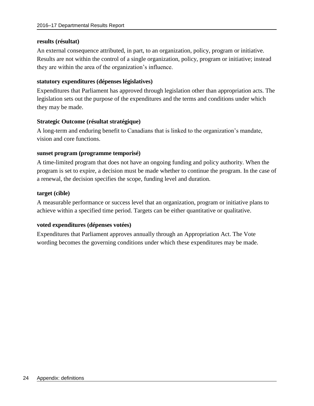#### **results (résultat)**

An external consequence attributed, in part, to an organization, policy, program or initiative. Results are not within the control of a single organization, policy, program or initiative; instead they are within the area of the organization's influence.

#### **statutory expenditures (dépenses législatives)**

Expenditures that Parliament has approved through legislation other than appropriation acts. The legislation sets out the purpose of the expenditures and the terms and conditions under which they may be made.

#### **Strategic Outcome (résultat stratégique)**

A long-term and enduring benefit to Canadians that is linked to the organization's mandate, vision and core functions.

#### **sunset program (programme temporisé)**

A time-limited program that does not have an ongoing funding and policy authority. When the program is set to expire, a decision must be made whether to continue the program. In the case of a renewal, the decision specifies the scope, funding level and duration.

#### **target (cible)**

A measurable performance or success level that an organization, program or initiative plans to achieve within a specified time period. Targets can be either quantitative or qualitative.

#### **voted expenditures (dépenses votées)**

Expenditures that Parliament approves annually through an Appropriation Act. The Vote wording becomes the governing conditions under which these expenditures may be made.